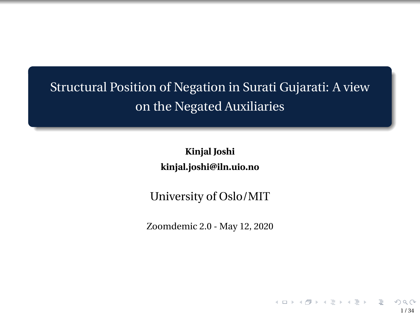## <span id="page-0-0"></span>Structural Position of Negation in Surati Gujarati: A view on the Negated Auxiliaries

**Kinjal Joshi kinjal.joshi@iln.uio.no**

University of Oslo/MIT

Zoomdemic 2.0 - May 12, 2020

1 / 34

 $A \equiv 1 + 4 \frac{B}{C} \Rightarrow A \equiv 1 + 4 \equiv 1 + \frac{B}{C}$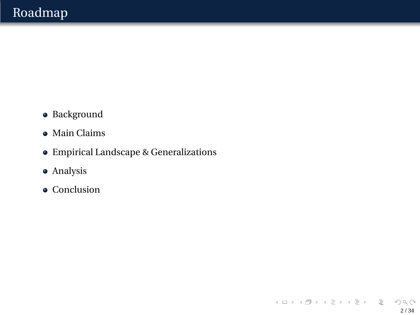- Background
- Main Claims
- Empirical Landscape & Generalizations

2 / 34

 $OQ$ 

イロト イ団 トイミト イミトー ミ

- Analysis
- Conclusion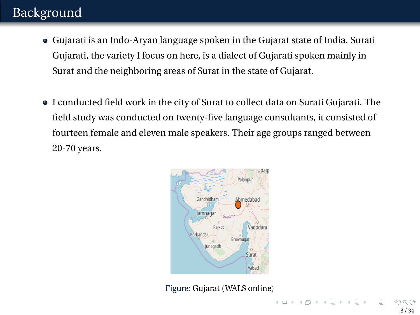## Background

- Gujarati is an Indo-Aryan language spoken in the Gujarat state of India. Surati Gujarati, the variety I focus on here, is a dialect of Gujarati spoken mainly in Surat and the neighboring areas of Surat in the state of Gujarat.
- I conducted field work in the city of Surat to collect data on Surati Gujarati. The field study was conducted on twenty-five language consultants, it consisted of fourteen female and eleven male speakers. Their age groups ranged between 20-70 years.



Figure: Gujarat (WALS online)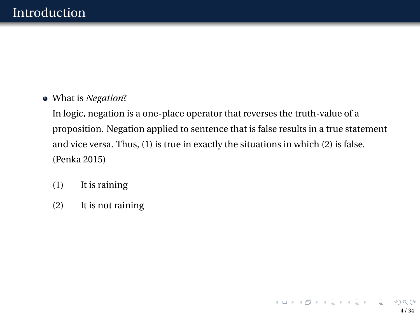#### What is *Negation*?

In logic, negation is a one-place operator that reverses the truth-value of a proposition. Negation applied to sentence that is false results in a true statement and vice versa. Thus, (1) is true in exactly the situations in which (2) is false. (Penka 2015)

- (1) It is raining
- (2) It is not raining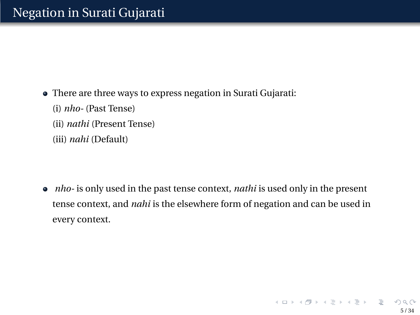- There are three ways to express negation in Surati Gujarati:
	- (i) *nho-* (Past Tense)
	- (ii) *nathi* (Present Tense)
	- (iii) *nahi* (Default)

*nho-* is only used in the past tense context, *nathi* is used only in the present tense context, and *nahi* is the elsewhere form of negation and can be used in every context.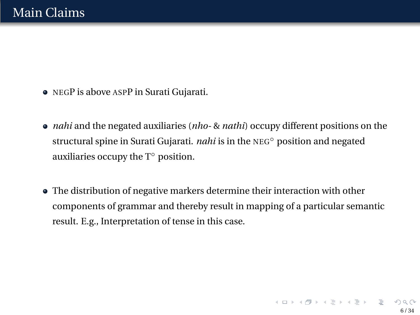- NEGP is above ASPP in Surati Gujarati.
- *nahi* and the negated auxiliaries (*nho-* & *nathi*) occupy different positions on the structural spine in Surati Gujarati. *nahi* is in the NEG◦ position and negated auxiliaries occupy the  $T<sup>°</sup>$  position.
- The distribution of negative markers determine their interaction with other components of grammar and thereby result in mapping of a particular semantic result. E.g., Interpretation of tense in this case.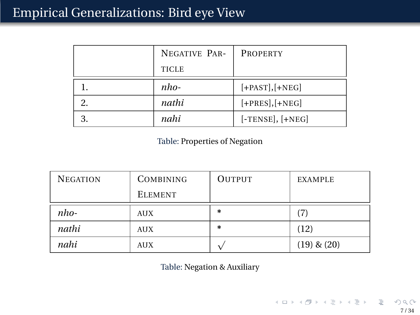|   | NEGATIVE PAR- | <b>PROPERTY</b>    |
|---|---------------|--------------------|
|   | <b>TICLE</b>  |                    |
|   | nho-          | $[+PAST], [+NEG]$  |
|   | nathi         | $[+PRES], [+NEG]$  |
| 2 | nahi          | $[-TENSE], [+NEG]$ |

Table: Properties of Negation

| <b>NEGATION</b> | <b>COMBINING</b> | <b>OUTPUT</b> | <b>EXAMPLE</b>  |
|-----------------|------------------|---------------|-----------------|
|                 | <b>ELEMENT</b>   |               |                 |
| $nho-$          | <b>AUX</b>       | $\ast$        | (7)             |
| nathi           | <b>AUX</b>       | $\ast$        | (12)            |
| nahi            | AUX              |               | $(19)$ & $(20)$ |

Table: Negation & Auxiliary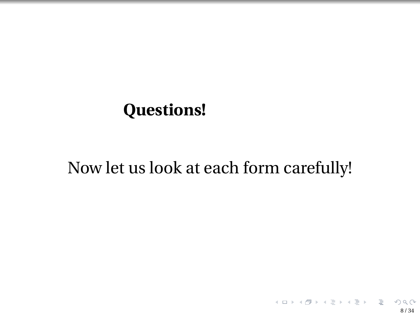## **Questions!**

# Now let us look at each form carefully!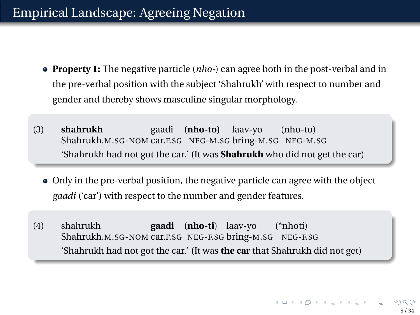## Empirical Landscape: Agreeing Negation

- **Property 1:** The negative particle (*nho-*) can agree both in the post-verbal and in the pre-verbal position with the subject 'Shahrukh' with respect to number and gender and thereby shows masculine singular morphology.
- (3) **shahrukh** Shahrukh.M.SG-NOM car.F.SG NEG-M.SG bring-M.SG NEG-M.SG gaadi (**nho-to)** laav-yo (nho-to) 'Shahrukh had not got the car.' (It was **Shahrukh** who did not get the car)
	- Only in the pre-verbal position, the negative particle can agree with the object *gaadi* ('car') with respect to the number and gender features.
- (4) shahrukh Shahrukh.M.SG-NOM car.F.SG NEG-F.SG bring-M.SG NEG-F.SG **gaadi** (**nho-ti**) laav-yo (\*nhoti) 'Shahrukh had not got the car.' (It was **the car** that Shahrukh did not get)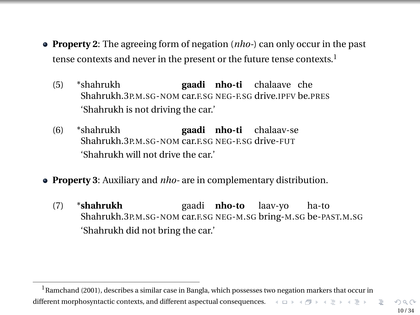- **Property 2**: The agreeing form of negation (*nho-*) can only occur in the past tense contexts and never in the present or the future tense contexts.<sup>1</sup>
	- (5) \*shahrukh Shahrukh.3P.M.SG-NOM car.F.SG NEG-F.SG drive.IPFV be.PRES **gaadi nho-ti** chalaave che 'Shahrukh is not driving the car.'
	- (6) \*shahrukh Shahrukh.3P.M.SG-NOM car.F.SG NEG-F.SG drive-FUT **gaadi nho-ti** chalaav-se 'Shahrukh will not drive the car.'
- **Property 3**: Auxiliary and *nho-* are in complementary distribution.
	- (7) \***shahrukh** Shahrukh.3P.M.SG-NOM car.F.SG NEG-M.SG bring-M.SG be-PAST.M.SG gaadi **nho-to** laav-yo ha-to 'Shahrukh did not bring the car.'

<sup>&</sup>lt;sup>1</sup> Ramchand (2001), describes a similar case in Bangla, which possesses two negation markers that occur in different morphosyntactic contexts, and different aspectual consequences.  $A \Box B + A \Box B + A \Box B$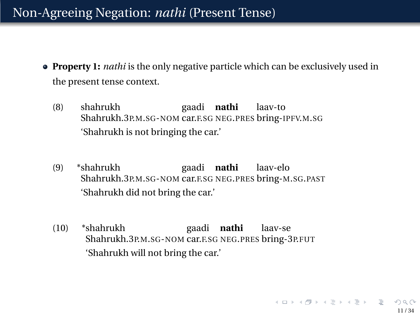### Non-Agreeing Negation: *nathi* (Present Tense)

- **Property 1:** *nathi* is the only negative particle which can be exclusively used in the present tense context.
	- (8) shahrukh Shahrukh.3P.M.SG-NOM car.F.SG NEG.PRES bring-IPFV.M.SG gaadi **nathi** laav-to 'Shahrukh is not bringing the car.'
	- (9) \*shahrukh Shahrukh.3P.M.SG-NOM car.F.SG NEG.PRES bring-M.SG.PAST gaadi **nathi** laav-elo 'Shahrukh did not bring the car.'
	- (10) \*shahrukh Shahrukh.3P.M.SG-NOM car.F.SG NEG.PRES bring-3P.FUT gaadi **nathi** laav-se 'Shahrukh will not bring the car.'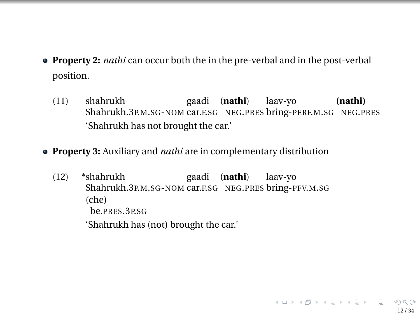- **Property 2:** *nathi* can occur both the in the pre-verbal and in the post-verbal position.
	- (11) shahrukh Shahrukh.3P.M.SG-NOM car.F.SG NEG.PRES bring-PERF.M.SG NEG.PRES gaadi (**nathi**) laav-yo **(nathi)** 'Shahrukh has not brought the car.'

12 / 34

イロトイ団トイヨトイヨト、ヨー

- **Property 3:** Auxiliary and *nathi* are in complementary distribution
	- (12) \*shahrukh Shahrukh.3P.M.SG-NOM car.F.SG NEG.PRES bring-PFV.M.SG gaadi (**nathi**) laav-yo (che) be.PRES.3P.SG 'Shahrukh has (not) brought the car.'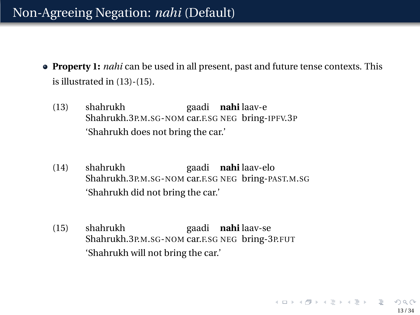### <span id="page-12-0"></span>Non-Agreeing Negation: *nahi* (Default)

- **Property 1:** *nahi* can be used in all present, past and future tense contexts. This is illustrated in (13)-(15).
	- (13) shahrukh Shahrukh.3P.M.SG-NOM car.F.SG NEG bring-IPFV.3P gaadi **nahi** laav-e 'Shahrukh does not bring the car.'
	- (14) shahrukh Shahrukh.3P.M.SG-NOM car.F.SG NEG bring-PAST.M.SG gaadi **nahi** laav-elo 'Shahrukh did not bring the car.'
	- (15) shahrukh Shahrukh.3P.M.SG-NOM car.F.SG NEG bring-3P.FUT gaadi **nahi** laav-se 'Shahrukh will not bring the car.'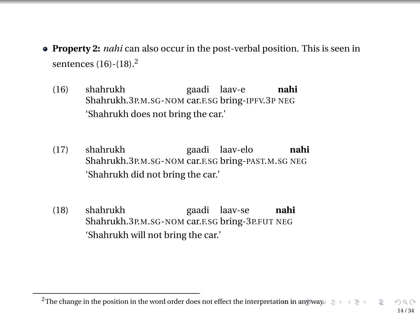- <span id="page-13-0"></span>**Property 2:** *nahi* can also occur in the post-verbal position. This is seen in sentences (16)-(18).<sup>2</sup>
	- (16) shahrukh Shahrukh.3P.M.SG-NOM car.F.SG bring-IPFV.3P NEG gaadi laav-e **nahi** 'Shahrukh does not bring the car.'
	- (17) shahrukh Shahrukh.3P.M.SG-NOM car.F.SG bring-PAST.M.SG NEG gaadi laav-elo **nahi** 'Shahrukh did not bring the car.'
	- (18) shahrukh Shahrukh.3P.M.SG-NOM car.F.SG bring-3P.FUT NEG gaadi laav-se **nahi** 'Shahrukh will not bring the car.'

<sup>&</sup>lt;sup>2</sup>The change in the position in the word order does not effect the interpre[tatio](#page-12-0)[n in](#page-14-0) [a](#page-12-0)[ny w](#page-13-0)[a](#page-14-0)[y.](#page-0-0)  $\equiv$   $\rightarrow$   $\equiv$   $\rightarrow$ E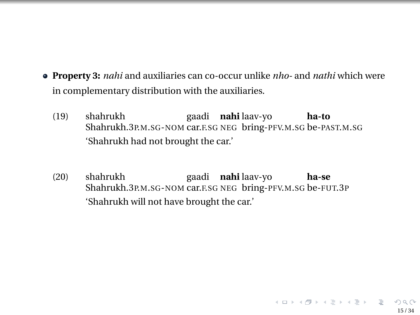- <span id="page-14-0"></span>**Property 3:** *nahi* and auxiliaries can co-occur unlike *nho-* and *nathi* which were in complementary distribution with the auxiliaries.
	- (19) shahrukh Shahrukh.3P.M.SG-NOM car.F.SG NEG bring-PFV.M.SG be-PAST.M.SG gaadi **nahi** laav-yo **ha-to** 'Shahrukh had not brought the car.'
	- (20) shahrukh Shahrukh.3P.M.SG-NOM car.F.SG NEG bring-PFV.M.SG be-FUT.3P gaadi **nahi** laav-yo **ha-se** 'Shahrukh will not have brought the car.'

15 / 34

イロンス 御う スミンスミン ニミー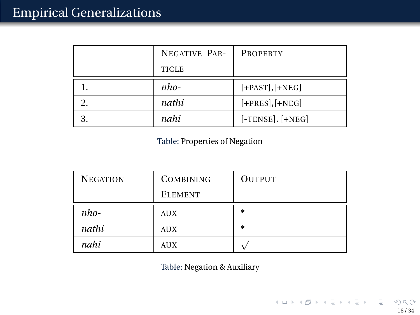| NEGATIVE PAR- | <b>PROPERTY</b>    |
|---------------|--------------------|
| <b>TICLE</b>  |                    |
| nho-          | $[+PAST], [+NEG]$  |
| nathi         | $[+PRES], [+NEG]$  |
| nahi          | $[-TENSE], [+NEG]$ |

Table: Properties of Negation

| <b>NEGATION</b> | <b>COMBINING</b> | <b>OUTPUT</b> |
|-----------------|------------------|---------------|
|                 | <b>ELEMENT</b>   |               |
| $nho-$          | <b>AUX</b>       | *             |
| nathi           | <b>AUX</b>       | $\ast$        |
| nahi            | <b>AUX</b>       |               |

Table: Negation & Auxiliary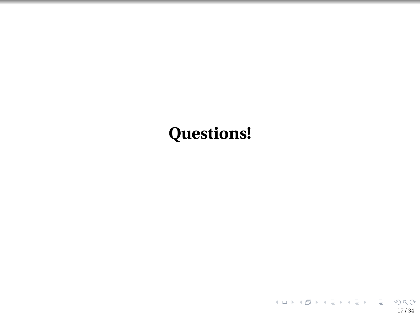# **Questions!**

17 / 34

K ロ ▶ K @ ▶ K 할 ▶ K 할 ▶ .. 할 .. 990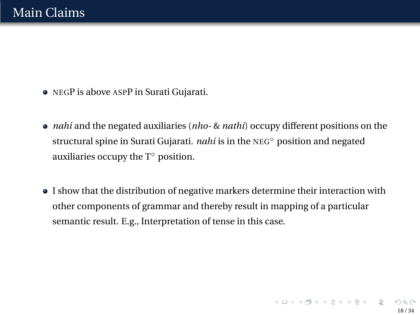- NEGP is above ASPP in Surati Gujarati.
- *nahi* and the negated auxiliaries (*nho-* & *nathi*) occupy different positions on the structural spine in Surati Gujarati. *nahi* is in the NEG◦ position and negated auxiliaries occupy the  $T<sup>°</sup>$  position.
- I show that the distribution of negative markers determine their interaction with other components of grammar and thereby result in mapping of a particular semantic result. E.g., Interpretation of tense in this case.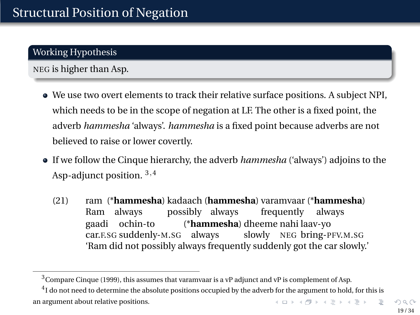#### Working Hypothesis

#### NEG is higher than Asp.

- We use two overt elements to track their relative surface positions. A subject NPI, which needs to be in the scope of negation at LF. The other is a fixed point, the adverb *hammesha* 'always'. *hammesha* is a fixed point because adverbs are not believed to raise or lower covertly.
- If we follow the Cinque hierarchy, the adverb *hammesha* ('always') adjoins to the Asp-adjunct position. <sup>3</sup>,<sup>4</sup>
	- (21) ram (\***hammesha**) kadaach (**hammesha**) varamvaar (\***hammesha**) Ram always possibly always frequently always gaadi car.F.SG suddenly-M.SG always ochin-to (\***hammesha**) dheeme nahi laav-yo slowly NEG bring-PFV.M.SG 'Ram did not possibly always frequently suddenly got the car slowly.'

<sup>&</sup>lt;sup>3</sup> Compare Cinque (1999), this assumes that varamvaar is a vP adjunct and vP is complement of Asp.

<sup>&</sup>lt;sup>4</sup>I do not need to determine the absolute positions occupied by the adverb for the argument to hold, for this is an argument about relative positions.  $A \cup B \cup A \cup B \cup A \cup B \cup A \cup B \cup A \cup B$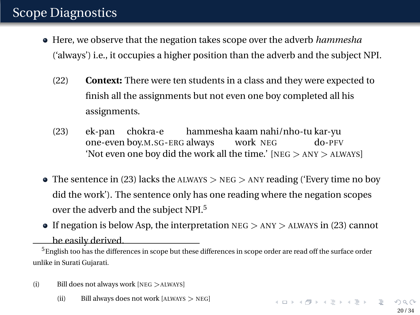### Scope Diagnostics

- Here, we observe that the negation takes scope over the adverb *hammesha* ('always') i.e., it occupies a higher position than the adverb and the subject NPI.
	- (22) **Context:** There were ten students in a class and they were expected to finish all the assignments but not even one boy completed all his assignments.
	- (23) ek-pan one-even boy.M.SG-ERG always chokra-e hammesha kaam nahi/nho-tu kar-yu work NEG do-PFV 'Not even one boy did the work all the time.' [NEG > ANY > ALWAYS]
- $\bullet$  The sentence in (23) lacks the ALWAYS  $>$  NEG  $>$  ANY reading ('Every time no boy did the work'). The sentence only has one reading where the negation scopes over the adverb and the subject NPI.<sup>5</sup>
- If negation is below Asp, the interpretation  $NEG$   $\geq$  ANY  $\geq$  ALWAYS in (23) cannot

be easily derived.

 $<sup>5</sup>$  English too has the differences in scope but these differences in scope order are read off the surface order</sup> unlike in Surati Gujarati.

(ii) Bill always does not work [ALWAYS > NEG]

<sup>(</sup>i) Bill does not always work [NEG >ALWAYS]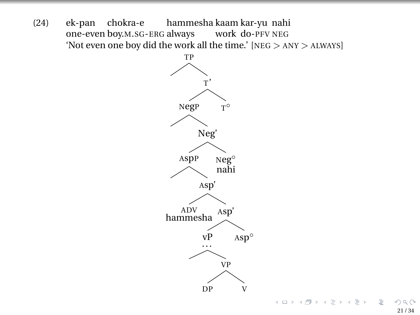(24) ek-pan one-even boy.M.SG-ERG always chokra-e hammesha kaam kar-yu nahi work do-PFV NEG 'Not even one boy did the work all the time.' [NEG > ANY > ALWAYS]



E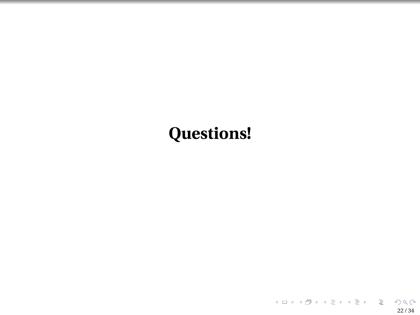# **Questions!**

22 / 34

K ロ ▶ K @ ▶ K 할 ▶ K 할 ▶ .. 할 .. 990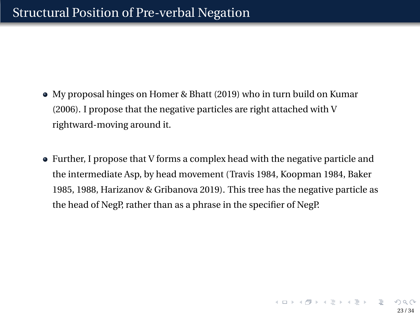- My proposal hinges on Homer & Bhatt (2019) who in turn build on Kumar (2006). I propose that the negative particles are right attached with V rightward-moving around it.
- Further, I propose that V forms a complex head with the negative particle and the intermediate Asp, by head movement (Travis 1984, Koopman 1984, Baker 1985, 1988, Harizanov & Gribanova 2019). This tree has the negative particle as the head of NegP, rather than as a phrase in the specifier of NegP.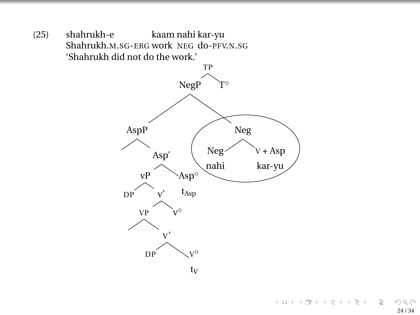(25) shahrukh-e Shahrukh.M.SG-ERG work NEG do-PFV.N.SG kaam nahi kar-yu 'Shahrukh did not do the work.'



イロトス 伊 トス ミトス ミト  $OQ$ 重 24 / 34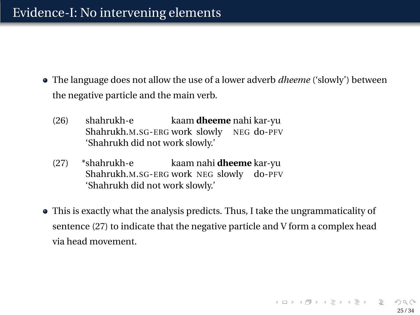- The language does not allow the use of a lower adverb *dheeme* ('slowly') between the negative particle and the main verb.
	- (26) shahrukh-e Shahrukh.M.SG-ERG work slowly kaam **dheeme** nahi kar-yu NEG do-PFV 'Shahrukh did not work slowly.'
	- (27) \*shahrukh-e Shahrukh.M.SG-ERG work NEG slowly do-PFV kaam nahi **dheeme** kar-yu 'Shahrukh did not work slowly.'
- This is exactly what the analysis predicts. Thus, I take the ungrammaticality of sentence (27) to indicate that the negative particle and V form a complex head via head movement.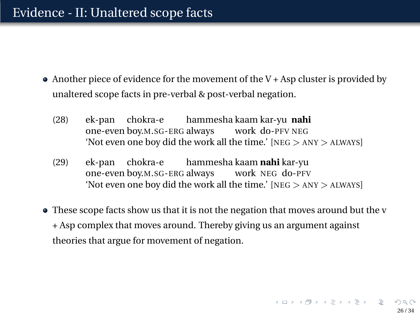- $\bullet$  Another piece of evidence for the movement of the V + Asp cluster is provided by unaltered scope facts in pre-verbal & post-verbal negation.
	- (28) ek-pan one-even boy.M.SG-ERG always work do-PFV NEG chokra-e hammesha kaam kar-yu **nahi** 'Not even one boy did the work all the time.' [NEG > ANY > ALWAYS]
	- (29) ek-pan one-even boy.M.SG-ERG always work NEG do-PFV chokra-e hammesha kaam **nahi** kar-yu 'Not even one boy did the work all the time.' [NEG > ANY > ALWAYS]
- These scope facts show us that it is not the negation that moves around but the v + Asp complex that moves around. Thereby giving us an argument against theories that argue for movement of negation.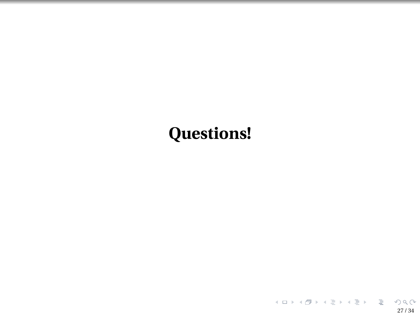# **Questions!**

27 / 34

K ロ ▶ K @ ▶ K 할 ▶ K 할 ▶ .. 할 .. 990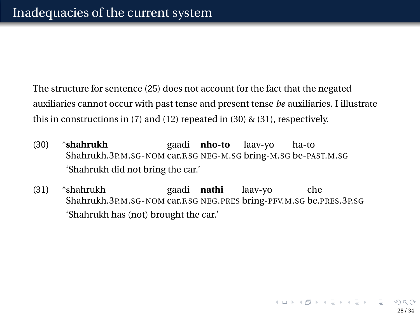The structure for sentence (25) does not account for the fact that the negated auxiliaries cannot occur with past tense and present tense *be* auxiliaries. I illustrate this in constructions in (7) and (12) repeated in (30) & (31), respectively.

- (30) \***shahrukh** Shahrukh.3P.M.SG-NOM car.F.SG NEG-M.SG bring-M.SG be-PAST.M.SG gaadi **nho-to** laav-yo ha-to 'Shahrukh did not bring the car.'
- (31) \*shahrukh Shahrukh.3P.M.SG-NOM car.F.SG NEG.PRES bring-PFV.M.SG be.PRES.3P.SG gaadi **nathi** laav-yo che 'Shahrukh has (not) brought the car.'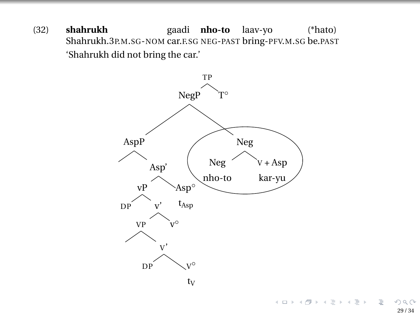(32) **shahrukh** Shahrukh.3P.M.SG-NOM car.F.SG NEG-PAST bring-PFV.M.SG be.PAST gaadi **nho-to** laav-yo (\*hato) 'Shahrukh did not bring the car.'

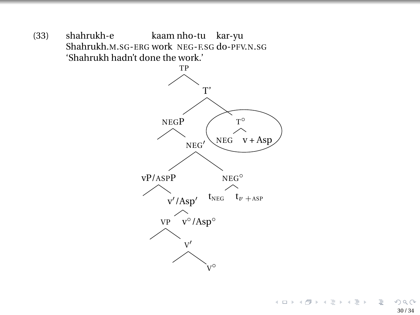(33) shahrukh-e Shahrukh.M.SG-ERG work NEG-F.SG do-PFV.N.SG kaam nho-tu kar-yu 'Shahrukh hadn't done the work.'

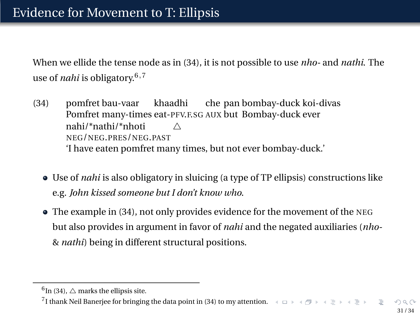When we ellide the tense node as in (34), it is not possible to use *nho-* and *nathi*. The use of *nahi* is obligatory.6,<sup>7</sup>

- (34) pomfret bau-vaar Pomfret many-times eat-PFV.F.SG AUX but Bombay-duck ever khaadhi che pan bombay-duck koi-divas nahi/\*nathi/\*nhoti NEG/NEG.PRES/NEG.PAST  $\wedge$ 'I have eaten pomfret many times, but not ever bombay-duck.'
	- Use of *nahi* is also obligatory in sluicing (a type of TP ellipsis) constructions like e.g. *John kissed someone but I don't know who*.
	- The example in (34), not only provides evidence for the movement of the NEG but also provides in argument in favor of *nahi* and the negated auxiliaries (*nho-* & *nathi*) being in different structural positions.

 $^6$ In (34),  $\triangle$  marks the ellipsis site.

 $7$ I thank Neil Banerjee for bringing the data point in (34) to my attention.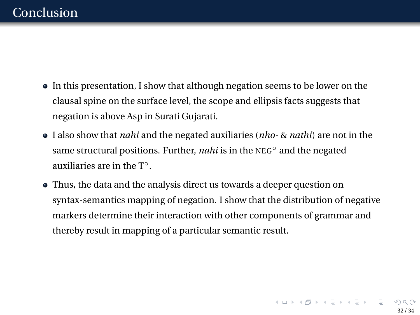### Conclusion

- In this presentation, I show that although negation seems to be lower on the clausal spine on the surface level, the scope and ellipsis facts suggests that negation is above Asp in Surati Gujarati.
- I also show that *nahi* and the negated auxiliaries (*nho-* & *nathi*) are not in the same structural positions. Further, *nahi* is in the NEG<sup>○</sup> and the negated auxiliaries are in the T◦.
- Thus, the data and the analysis direct us towards a deeper question on syntax-semantics mapping of negation. I show that the distribution of negative markers determine their interaction with other components of grammar and thereby result in mapping of a particular semantic result.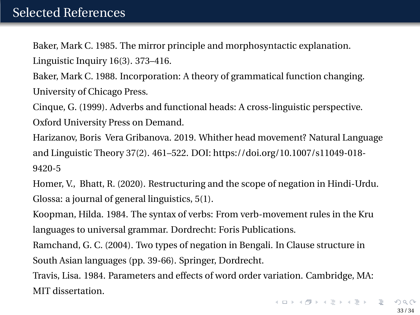## <span id="page-32-0"></span>Selected References

Baker, Mark C. 1985. The mirror principle and morphosyntactic explanation. Linguistic Inquiry 16(3). 373–416.

Baker, Mark C. 1988. Incorporation: A theory of grammatical function changing. University of Chicago Press.

Cinque, G. (1999). Adverbs and functional heads: A cross-linguistic perspective. Oxford University Press on Demand.

Harizanov, Boris Vera Gribanova. 2019. Whither head movement? Natural Language and Linguistic Theory 37(2). 461–522. DOI: https://doi.org/10.1007/s11049-018- 9420-5

Homer, V., Bhatt, R. (2020). Restructuring and the scope of negation in Hindi-Urdu. Glossa: a journal of general linguistics, 5(1).

Koopman, Hilda. 1984. The syntax of verbs: From verb-movement rules in the Kru languages to universal grammar. Dordrecht: Foris Publications.

Ramchand, G. C. (2004). Two types of negation in Bengali. In Clause structure in South Asian languages (pp. 39-66). Springer, Dordrecht.

Travis, Lisa. 1984. Parameters and effects of word order variation. Cambridge, MA: MIT dissertation.